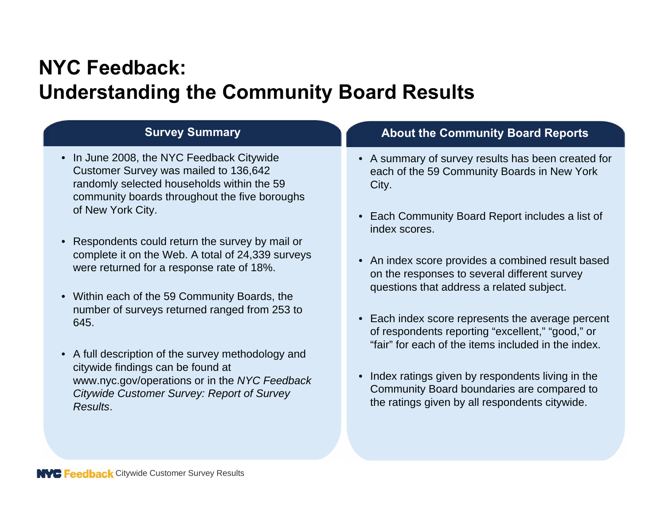- In June 2008, the NYC Feedback Citywide Customer Survey was mailed to 136,642 randomly selected households within the 59 community boards throughout the five boroughs of New York City.
- Respondents could return the survey by mail or complete it on the Web. A total of 24,339 surveys were returned for a response rate of 18%.
- Within each of the 59 Community Boards, the number of surveys returned ranged from 253 to 645.
- A full description of the survey methodology and citywide findings can be found at www.nyc.gov/operations or in the *NYC Feedback Citywide Customer Survey: Report of Survey Results*.

# **Survey Summary About the Community Board Reports**

- A summary of survey results has been created for each of the 59 Community Boards in New York City.
- Each Community Board Report includes a list of index scores.
- An index score provides a combined result based on the responses to several different survey questions that address a related subject.
- Each index score represents the average percent of respondents reporting "excellent," "good," or "fair" for each of the items included in the index.
- Index ratings given by respondents living in the Community Board boundaries are compared to the ratings given by all respondents citywide.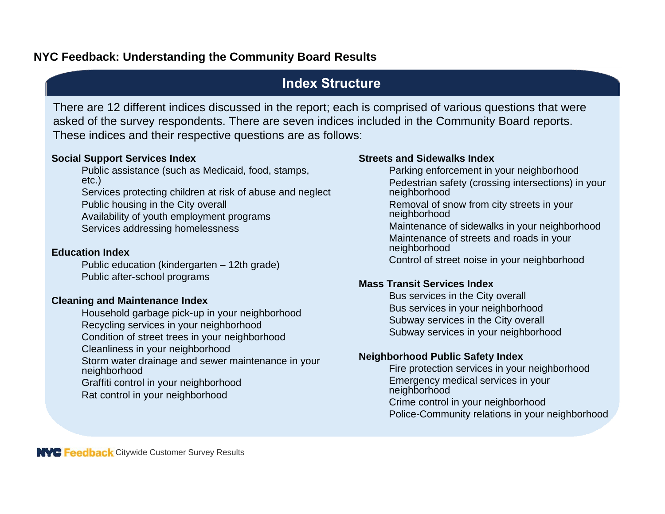# **Index Structure**

There are 12 different indices discussed in the report; each is comprised of various questions that were asked of the survey respondents. There are seven indices included in the Community Board reports. These indices and their respective questions are as follows:

#### **Social Support Services Index**

Public assistance (such as Medicaid, food, stamps, etc.) Services protecting children at risk of abuse and neglect Public housing in the City overall

Availability of youth employment programs

Services addressing homelessness

#### **Education Index**

Public education (kindergarten – 12th grade) Public after-school programs

### **Cleaning and Maintenance Index**

Household garbage pick-up in your neighborhood Recycling services in your neighborhood Condition of street trees in your neighborhood Cleanliness in your neighborhood Storm water drainage and sewer maintenance in your neighborhood

Graffiti control in your neighborhood Rat control in your neighborhood

#### **Streets and Sidewalks Index**

Parking enforcement in your neighborhood Pedestrian safety (crossing intersections) in your neighborhood Removal of snow from city streets in your neighborhood

Maintenance of sidewalks in your neighborhood Maintenance of streets and roads in your neighborhood

Control of street noise in your neighborhood

### **Mass Transit Services Index**

Bus services in the City overall Bus services in your neighborhood Subway services in the City overall Subway services in your neighborhood

#### **Neighborhood Public Safety Index**

Fire protection services in your neighborhood Emergency medical services in your neighborhood

Crime control in your neighborhood Police-Community relations in your neighborhood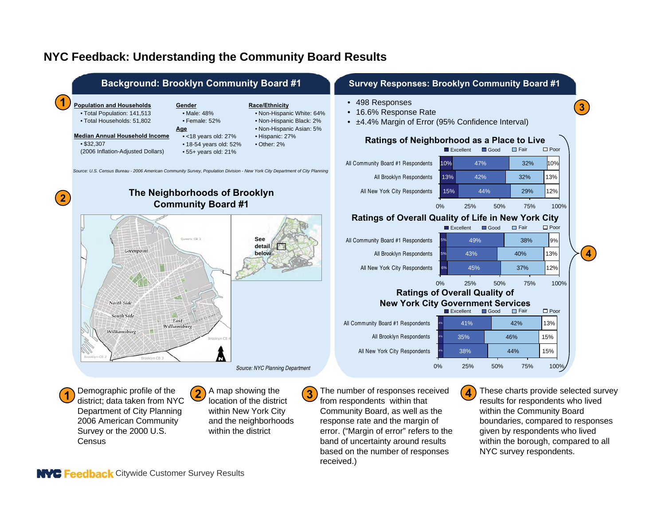

NYC Feedback Citywide Customer Survey Results

**Census** 

received.)

band of uncertainty around results based on the number of responses within the borough, compared to all

NYC survey respondents.